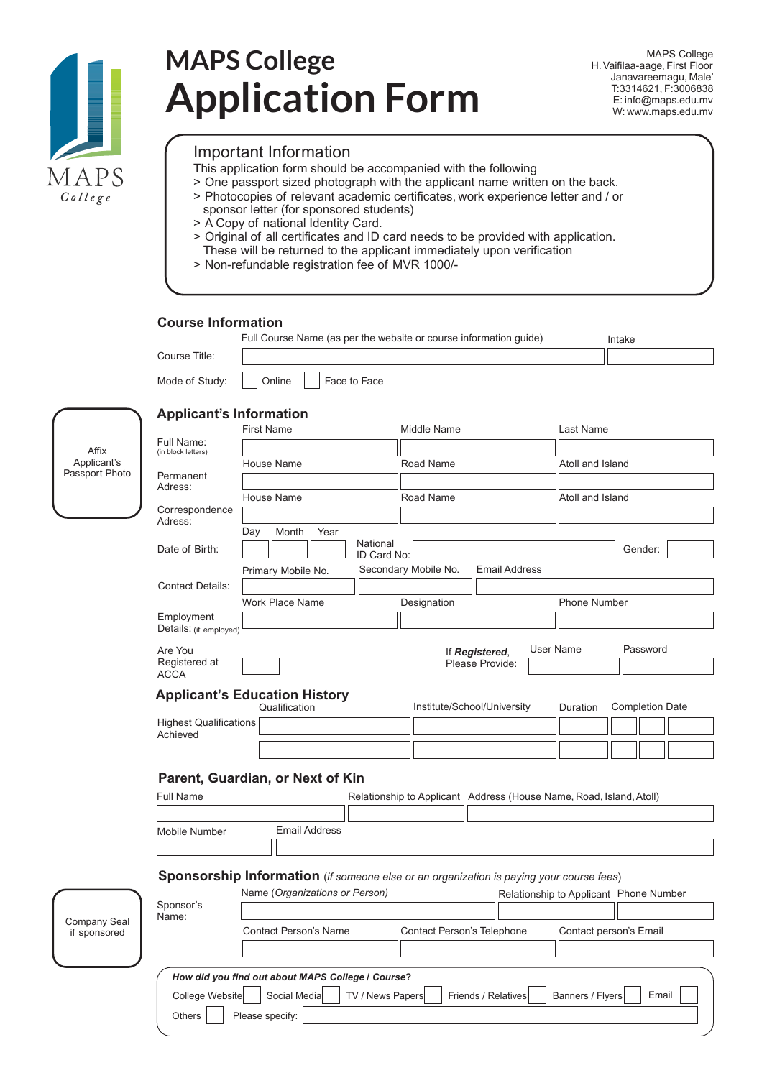

# **MAPS College Application Form**

MAPS College H. Vaifilaa-aage, First Floor Janavareemagu, Male' T:3314621, F:3006838 E: info@maps.edu.mv W: www.maps.edu.mv

## Important Information

- This application form should be accompanied with the following
- > One passport sized photograph with the applicant name written on the back.
- > Photocopies of relevant academic certificates, work experience letter and / or sponsor letter (for sponsored students)
- > A Copy of national Identity Card.
- > Original of all certificates and ID card needs to be provided with application.
- These will be returned to the applicant immediately upon verification
- > Non-refundable registration fee of MVR 1000/-

### **Course Information**

|                                        |                                                                                                         | Full Course Name (as per the website or course information guide)<br>Intake             |                         |                             |                      |  |                       |                        |         |  |  |
|----------------------------------------|---------------------------------------------------------------------------------------------------------|-----------------------------------------------------------------------------------------|-------------------------|-----------------------------|----------------------|--|-----------------------|------------------------|---------|--|--|
|                                        | Course Title:                                                                                           |                                                                                         |                         |                             |                      |  |                       |                        |         |  |  |
|                                        | Mode of Study:                                                                                          | Online<br>Face to Face                                                                  |                         |                             |                      |  |                       |                        |         |  |  |
| Affix<br>Applicant's<br>Passport Photo | <b>Applicant's Information</b>                                                                          | <b>First Name</b>                                                                       |                         | Middle Name                 |                      |  | Last Name             |                        |         |  |  |
|                                        | Full Name:                                                                                              |                                                                                         |                         |                             |                      |  |                       |                        |         |  |  |
|                                        | (in block letters)                                                                                      | House Name                                                                              |                         | Road Name                   |                      |  | Atoll and Island      |                        |         |  |  |
|                                        | Permanent<br>Adress:                                                                                    |                                                                                         |                         |                             |                      |  |                       |                        |         |  |  |
|                                        | Correspondence                                                                                          | House Name                                                                              |                         | Road Name                   |                      |  | Atoll and Island      |                        |         |  |  |
|                                        | Adress:                                                                                                 |                                                                                         |                         |                             |                      |  |                       |                        |         |  |  |
|                                        | Date of Birth:                                                                                          | Day<br>Month<br>Year                                                                    | National<br>ID Card No: |                             |                      |  |                       |                        | Gender: |  |  |
|                                        |                                                                                                         | Primary Mobile No.                                                                      |                         | Secondary Mobile No.        | <b>Email Address</b> |  |                       |                        |         |  |  |
|                                        | <b>Contact Details:</b>                                                                                 |                                                                                         |                         |                             |                      |  |                       |                        |         |  |  |
|                                        |                                                                                                         | Work Place Name                                                                         |                         | Designation                 |                      |  | <b>Phone Number</b>   |                        |         |  |  |
|                                        | Employment<br>Details: (if employed)                                                                    |                                                                                         |                         |                             |                      |  |                       |                        |         |  |  |
|                                        | Are You<br>Registered at                                                                                | If Registered,<br>Please Provide:                                                       |                         |                             |                      |  | User Name<br>Password |                        |         |  |  |
|                                        | <b>ACCA</b>                                                                                             |                                                                                         |                         |                             |                      |  |                       |                        |         |  |  |
|                                        |                                                                                                         | <b>Applicant's Education History</b><br>Qualification                                   |                         | Institute/School/University |                      |  | Duration              | <b>Completion Date</b> |         |  |  |
|                                        | <b>Highest Qualifications</b>                                                                           |                                                                                         |                         |                             |                      |  |                       |                        |         |  |  |
|                                        | Achieved                                                                                                |                                                                                         |                         |                             |                      |  |                       |                        |         |  |  |
| Company Seal<br>if sponsored           |                                                                                                         |                                                                                         |                         |                             |                      |  |                       |                        |         |  |  |
|                                        | Parent, Guardian, or Next of Kin<br>Relationship to Applicant Address (House Name, Road, Island, Atoll) |                                                                                         |                         |                             |                      |  |                       |                        |         |  |  |
|                                        | <b>Full Name</b>                                                                                        |                                                                                         |                         |                             |                      |  |                       |                        |         |  |  |
|                                        | Mobile Number                                                                                           | <b>Email Address</b>                                                                    |                         |                             |                      |  |                       |                        |         |  |  |
|                                        |                                                                                                         |                                                                                         |                         |                             |                      |  |                       |                        |         |  |  |
|                                        |                                                                                                         |                                                                                         |                         |                             |                      |  |                       |                        |         |  |  |
|                                        |                                                                                                         | Sponsorship Information (if someone else or an organization is paying your course fees) |                         |                             |                      |  |                       |                        |         |  |  |
|                                        | Sponsor's<br>Name:                                                                                      | Name (Organizations or Person)<br>Relationship to Applicant Phone Number                |                         |                             |                      |  |                       |                        |         |  |  |
|                                        |                                                                                                         |                                                                                         |                         |                             |                      |  |                       |                        |         |  |  |
|                                        |                                                                                                         | <b>Contact Person's Name</b><br>Contact Person's Telephone<br>Contact person's Email    |                         |                             |                      |  |                       |                        |         |  |  |
|                                        |                                                                                                         |                                                                                         |                         |                             |                      |  |                       |                        |         |  |  |
|                                        |                                                                                                         | How did you find out about MAPS College / Course?                                       |                         |                             |                      |  |                       |                        |         |  |  |
|                                        | College Website                                                                                         | Social Media                                                                            | TV / News Papers        |                             | Friends / Relatives  |  | Banners / Flyers      |                        | Email   |  |  |

Others | Please specify: